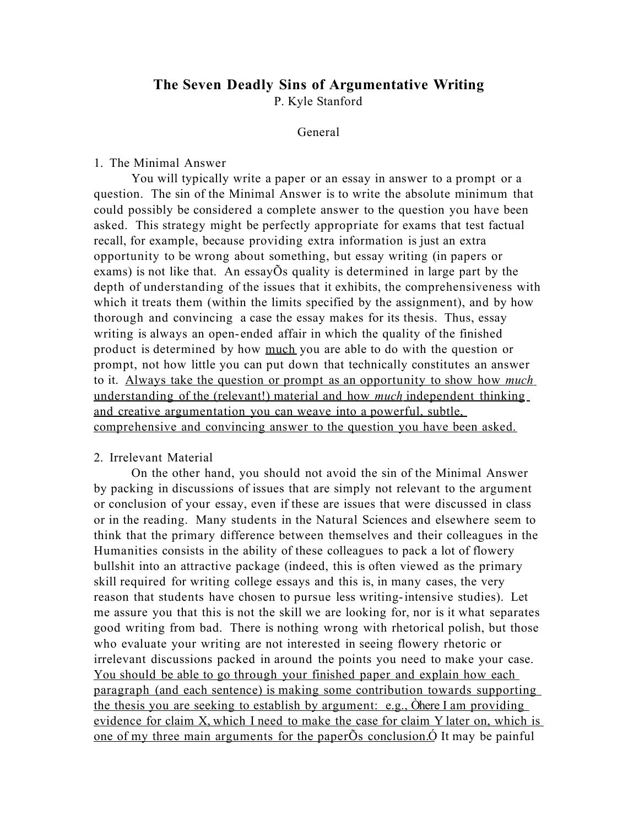# **The Seven Deadly Sins of Argumentative Writing**

P. Kyle Stanford

# General

#### 1. The Minimal Answer

You will typically write a paper or an essay in answer to a prompt or a question. The sin of the Minimal Answer is to write the absolute minimum that could possibly be considered a complete answer to the question you have been asked. This strategy might be perfectly appropriate for exams that test factual recall, for example, because providing extra information is just an extra opportunity to be wrong about something, but essay writing (in papers or exams) is not like that. An essayÕs quality is determined in large part by the depth of understanding of the issues that it exhibits, the comprehensiveness with which it treats them (within the limits specified by the assignment), and by how thorough and convincing a case the essay makes for its thesis. Thus, essay writing is always an open-ended affair in which the quality of the finished product is determined by how much you are able to do with the question or prompt, not how little you can put down that technically constitutes an answer to it. Always take the question or prompt as an opportunity to show how *much* understanding of the (relevant!) material and how *much* independent thinking and creative argumentation you can weave into a powerful, subtle, comprehensive and convincing answer to the question you have been asked.

#### 2. Irrelevant Material

On the other hand, you should not avoid the sin of the Minimal Answer by packing in discussions of issues that are simply not relevant to the argument or conclusion of your essay, even if these are issues that were discussed in class or in the reading. Many students in the Natural Sciences and elsewhere seem to think that the primary difference between themselves and their colleagues in the Humanities consists in the ability of these colleagues to pack a lot of flowery bullshit into an attractive package (indeed, this is often viewed as the primary skill required for writing college essays and this is, in many cases, the very reason that students have chosen to pursue less writing-intensive studies). Let me assure you that this is not the skill we are looking for, nor is it what separates good writing from bad. There is nothing wrong with rhetorical polish, but those who evaluate your writing are not interested in seeing flowery rhetoric or irrelevant discussions packed in around the points you need to make your case. You should be able to go through your finished paper and explain how each paragraph (and each sentence) is making some contribution towards supporting the thesis you are seeking to establish by argument: e.g., Òhere I am providing evidence for claim X, which I need to make the case for claim Y later on, which is one of my three main arguments for the paper $\tilde{O}$ s conclusion. $\tilde{O}$  It may be painful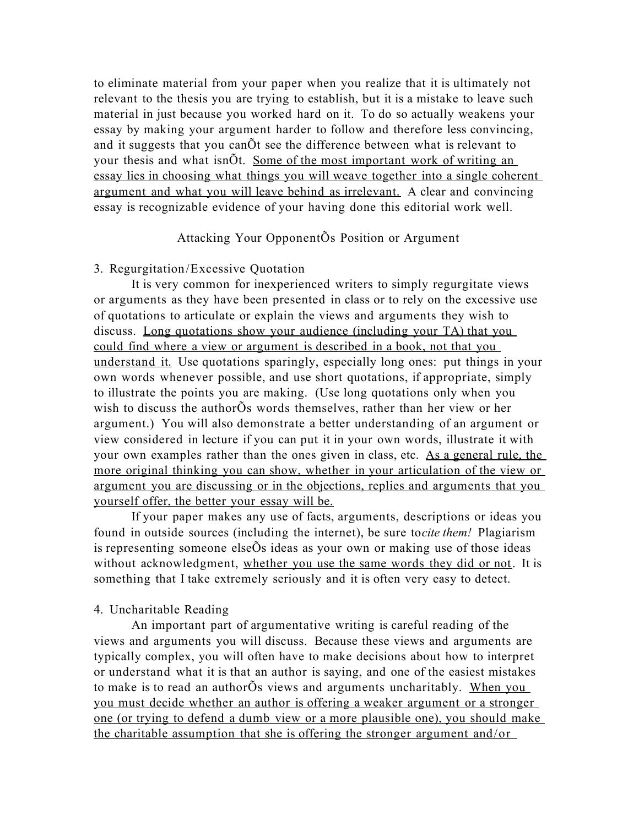to eliminate material from your paper when you realize that it is ultimately not relevant to the thesis you are trying to establish, but it is a mistake to leave such material in just because you worked hard on it. To do so actually weakens your essay by making your argument harder to follow and therefore less convincing, and it suggests that you canÕt see the difference between what is relevant to your thesis and what isnOt. Some of the most important work of writing an essay lies in choosing what things you will weave together into a single coherent argument and what you will leave behind as irrelevant. A clear and convincing essay is recognizable evidence of your having done this editorial work well.

# Attacking Your OpponentÕs Position or Argument

#### 3. Regurgitation/Excessive Quotation

It is very common for inexperienced writers to simply regurgitate views or arguments as they have been presented in class or to rely on the excessive use of quotations to articulate or explain the views and arguments they wish to discuss. Long quotations show your audience (including your TA) that you could find where a view or argument is described in a book, not that you understand it. Use quotations sparingly, especially long ones: put things in your own words whenever possible, and use short quotations, if appropriate, simply to illustrate the points you are making. (Use long quotations only when you wish to discuss the authorÕs words themselves, rather than her view or her argument.) You will also demonstrate a better understanding of an argument or view considered in lecture if you can put it in your own words, illustrate it with your own examples rather than the ones given in class, etc. As a general rule, the more original thinking you can show, whether in your articulation of the view or argument you are discussing or in the objections, replies and arguments that you yourself offer, the better your essay will be.

If your paper makes any use of facts, arguments, descriptions or ideas you found in outside sources (including the internet), be sure to*cite them!* Plagiarism is representing someone elseÕs ideas as your own or making use of those ideas without acknowledgment, whether you use the same words they did or not. It is something that I take extremely seriously and it is often very easy to detect.

# 4. Uncharitable Reading

An important part of argumentative writing is careful reading of the views and arguments you will discuss. Because these views and arguments are typically complex, you will often have to make decisions about how to interpret or understand what it is that an author is saying, and one of the easiest mistakes to make is to read an authorÕs views and arguments uncharitably. When you you must decide whether an author is offering a weaker argument or a stronger one (or trying to defend a dumb view or a more plausible one), you should make the charitable assumption that she is offering the stronger argument and/or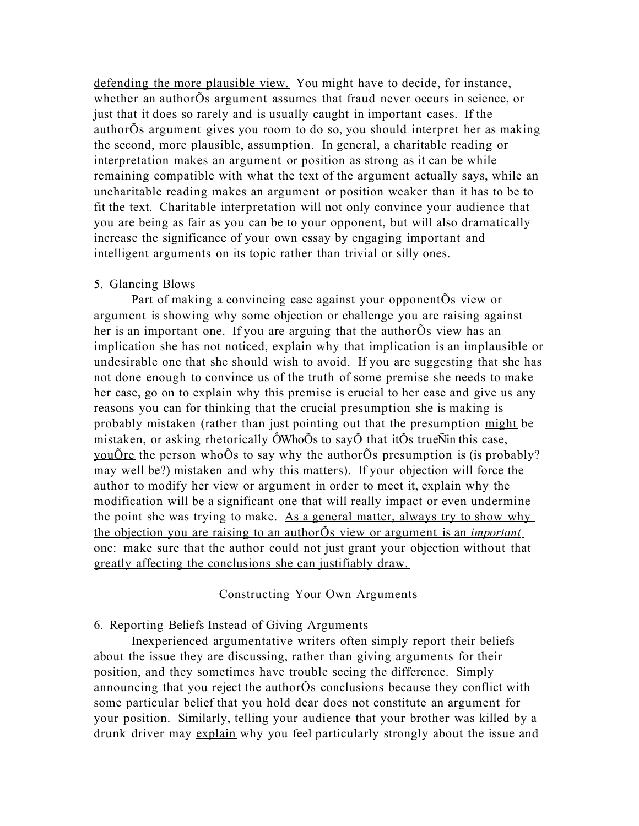defending the more plausible view. You might have to decide, for instance, whether an authorÕs argument assumes that fraud never occurs in science, or just that it does so rarely and is usually caught in important cases. If the authorÕs argument gives you room to do so, you should interpret her as making the second, more plausible, assumption. In general, a charitable reading or interpretation makes an argument or position as strong as it can be while remaining compatible with what the text of the argument actually says, while an uncharitable reading makes an argument or position weaker than it has to be to fit the text. Charitable interpretation will not only convince your audience that you are being as fair as you can be to your opponent, but will also dramatically increase the significance of your own essay by engaging important and intelligent arguments on its topic rather than trivial or silly ones.

#### 5. Glancing Blows

Part of making a convincing case against your opponentÕs view or argument is showing why some objection or challenge you are raising against her is an important one. If you are arguing that the authorÕs view has an implication she has not noticed, explain why that implication is an implausible or undesirable one that she should wish to avoid. If you are suggesting that she has not done enough to convince us of the truth of some premise she needs to make her case, go on to explain why this premise is crucial to her case and give us any reasons you can for thinking that the crucial presumption she is making is probably mistaken (rather than just pointing out that the presumption might be mistaken, or asking rhetorically  $\hat{\text{O}}$ Who $\tilde{\text{O}}$ s to say $\tilde{\text{O}}$  that it $\tilde{\text{O}}$ s true $\tilde{\text{N}}$ in this case, <u>you</u>Õre the person whoÕs to say why the authorÕs presumption is (is probably? may well be?) mistaken and why this matters). If your objection will force the author to modify her view or argument in order to meet it, explain why the modification will be a significant one that will really impact or even undermine the point she was trying to make. As a general matter, always try to show why the objection you are raising to an author<sup>Õs</sup> view or argument is an *important* one: make sure that the author could not just grant your objection without that greatly affecting the conclusions she can justifiably draw.

#### Constructing Your Own Arguments

# 6. Reporting Beliefs Instead of Giving Arguments

Inexperienced argumentative writers often simply report their beliefs about the issue they are discussing, rather than giving arguments for their position, and they sometimes have trouble seeing the difference. Simply announcing that you reject the authorÕs conclusions because they conflict with some particular belief that you hold dear does not constitute an argument for your position. Similarly, telling your audience that your brother was killed by a drunk driver may explain why you feel particularly strongly about the issue and